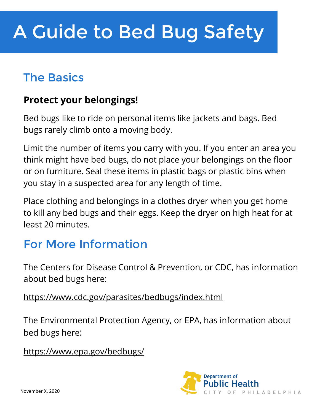## The Basics

### **Protect your belongings!**

Bed bugs like to ride on personal items like jackets and bags. Bed bugs rarely climb onto a moving body.

Limit the number of items you carry with you. If you enter an area you think might have bed bugs, do not place your belongings on the floor or on furniture. Seal these items in plastic bags or plastic bins when you stay in a suspected area for any length of time.

Place clothing and belongings in a clothes dryer when you get home to kill any bed bugs and their eggs. Keep the dryer on high heat for at least 20 minutes.

### For More Information

The Centers for Disease Control & Prevention, or CDC, has information about bed bugs here:

https://www.cdc.gov/parasites/bedbugs/index.html

The Environmental Protection Agency, or EPA, has information about bed bugs here:

https://www.epa.gov/bedbugs/

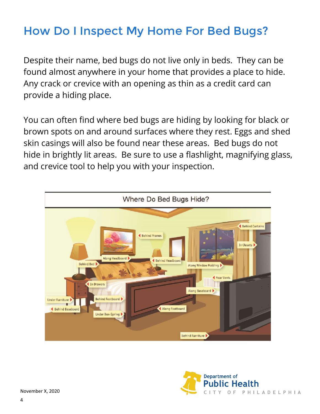### How Do I Inspect My Home For Bed Bugs?

Despite their name, bed bugs do not live only in beds. They can be found almost anywhere in your home that provides a place to hide. Any crack or crevice with an opening as thin as a credit card can provide a hiding place.

You can often find where bed bugs are hiding by looking for black or brown spots on and around surfaces where they rest. Eggs and shed skin casings will also be found near these areas. Bed bugs do not hide in brightly lit areas. Be sure to use a flashlight, magnifying glass, and crevice tool to help you with your inspection.



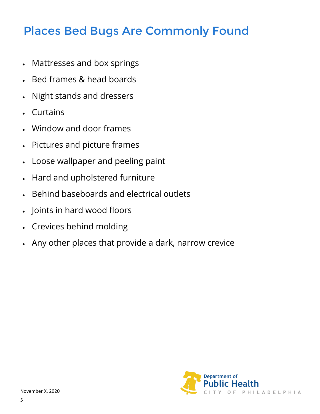### Places Bed Bugs Are Commonly Found

- Mattresses and box springs
- Bed frames & head boards
- Night stands and dressers
- Curtains
- Window and door frames
- Pictures and picture frames
- Loose wallpaper and peeling paint
- Hard and upholstered furniture
- Behind baseboards and electrical outlets
- Joints in hard wood floors
- Crevices behind molding
- Any other places that provide a dark, narrow crevice

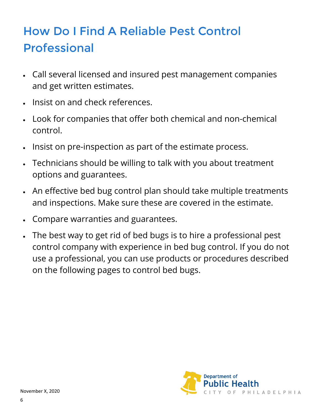# How Do I Find A Reliable Pest Control Professional

- Call several licensed and insured pest management companies and get written estimates.
- Insist on and check references.
- Look for companies that offer both chemical and non-chemical control.
- Insist on pre-inspection as part of the estimate process.
- Technicians should be willing to talk with you about treatment options and guarantees.
- An effective bed bug control plan should take multiple treatments and inspections. Make sure these are covered in the estimate.
- Compare warranties and guarantees.
- The best way to get rid of bed bugs is to hire a professional pest control company with experience in bed bug control. If you do not use a professional, you can use products or procedures described on the following pages to control bed bugs.

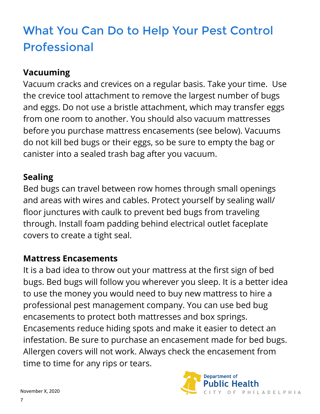# What You Can Do to Help Your Pest Control Professional

#### **Vacuuming**

Vacuum cracks and crevices on a regular basis. Take your time. Use the crevice tool attachment to remove the largest number of bugs and eggs. Do not use a bristle attachment, which may transfer eggs from one room to another. You should also vacuum mattresses before you purchase mattress encasements (see below). Vacuums do not kill bed bugs or their eggs, so be sure to empty the bag or canister into a sealed trash bag after you vacuum.

#### **Sealing**

Bed bugs can travel between row homes through small openings and areas with wires and cables. Protect yourself by sealing wall/ floor junctures with caulk to prevent bed bugs from traveling through. Install foam padding behind electrical outlet faceplate covers to create a tight seal.

#### **Mattress Encasements**

It is a bad idea to throw out your mattress at the first sign of bed bugs. Bed bugs will follow you wherever you sleep. It is a better idea to use the money you would need to buy new mattress to hire a professional pest management company. You can use bed bug encasements to protect both mattresses and box springs. Encasements reduce hiding spots and make it easier to detect an infestation. Be sure to purchase an encasement made for bed bugs. Allergen covers will not work. Always check the encasement from time to time for any rips or tears.

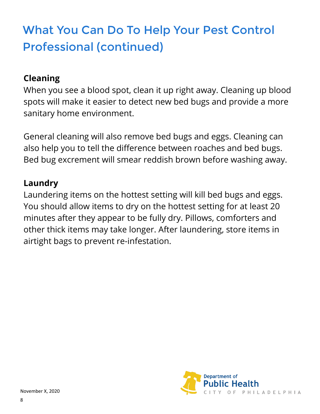# What You Can Do To Help Your Pest Control Professional (continued)

#### **Cleaning**

When you see a blood spot, clean it up right away. Cleaning up blood spots will make it easier to detect new bed bugs and provide a more sanitary home environment.

General cleaning will also remove bed bugs and eggs. Cleaning can also help you to tell the difference between roaches and bed bugs. Bed bug excrement will smear reddish brown before washing away.

#### **Laundry**

Laundering items on the hottest setting will kill bed bugs and eggs. You should allow items to dry on the hottest setting for at least 20 minutes after they appear to be fully dry. Pillows, comforters and other thick items may take longer. After laundering, store items in airtight bags to prevent re-infestation.

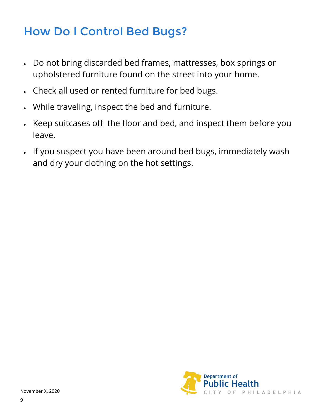### How Do I Control Bed Bugs?

- Do not bring discarded bed frames, mattresses, box springs or upholstered furniture found on the street into your home.
- Check all used or rented furniture for bed bugs.
- While traveling, inspect the bed and furniture.
- Keep suitcases off the floor and bed, and inspect them before you leave.
- If you suspect you have been around bed bugs, immediately wash and dry your clothing on the hot settings.

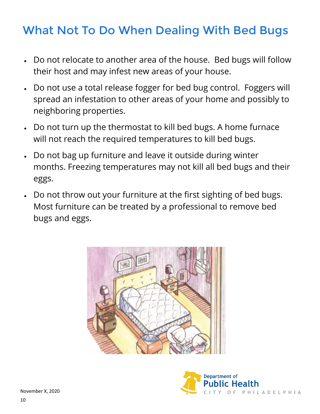### What Not To Do When Dealing With Bed Bugs

- Do not relocate to another area of the house. Bed bugs will follow their host and may infest new areas of your house.
- Do not use a total release fogger for bed bug control. Foggers will spread an infestation to other areas of your home and possibly to neighboring properties.
- Do not turn up the thermostat to kill bed bugs. A home furnace will not reach the required temperatures to kill bed bugs.
- Do not bag up furniture and leave it outside during winter months. Freezing temperatures may not kill all bed bugs and their eggs.
- Do not throw out your furniture at the first sighting of bed bugs. Most furniture can be treated by a professional to remove bed bugs and eggs.



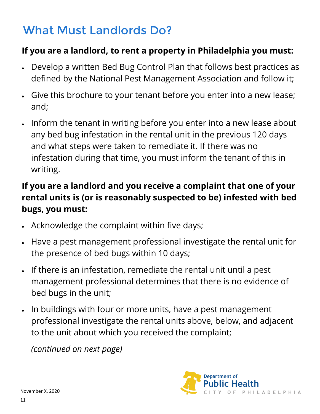## What Must Landlords Do?

### **If you are a landlord, to rent a property in Philadelphia you must:**

- Develop a written Bed Bug Control Plan that follows best practices as defined by the National Pest Management Association and follow it;
- Give this brochure to your tenant before you enter into a new lease; and;
- Inform the tenant in writing before you enter into a new lease about any bed bug infestation in the rental unit in the previous 120 days and what steps were taken to remediate it. If there was no infestation during that time, you must inform the tenant of this in writing.

### **If you are a landlord and you receive a complaint that one of your rental units is (or is reasonably suspected to be) infested with bed bugs, you must:**

- Acknowledge the complaint within five days;
- Have a pest management professional investigate the rental unit for the presence of bed bugs within 10 days;
- If there is an infestation, remediate the rental unit until a pest management professional determines that there is no evidence of bed bugs in the unit;
- In buildings with four or more units, have a pest management professional investigate the rental units above, below, and adjacent to the unit about which you received the complaint;

*(continued on next page)*

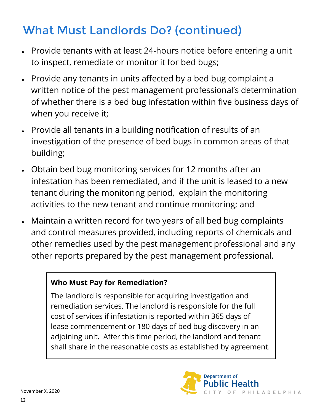## What Must Landlords Do? (continued)

- Provide tenants with at least 24-hours notice before entering a unit to inspect, remediate or monitor it for bed bugs;
- Provide any tenants in units affected by a bed bug complaint a written notice of the pest management professional's determination of whether there is a bed bug infestation within five business days of when you receive it;
- Provide all tenants in a building notification of results of an investigation of the presence of bed bugs in common areas of that building;
- Obtain bed bug monitoring services for 12 months after an infestation has been remediated, and if the unit is leased to a new tenant during the monitoring period, explain the monitoring activities to the new tenant and continue monitoring; and
- Maintain a written record for two years of all bed bug complaints and control measures provided, including reports of chemicals and other remedies used by the pest management professional and any other reports prepared by the pest management professional.

#### **Who Must Pay for Remediation?**

The landlord is responsible for acquiring investigation and remediation services. The landlord is responsible for the full cost of services if infestation is reported within 365 days of lease commencement or 180 days of bed bug discovery in an adjoining unit. After this time period, the landlord and tenant shall share in the reasonable costs as established by agreement.